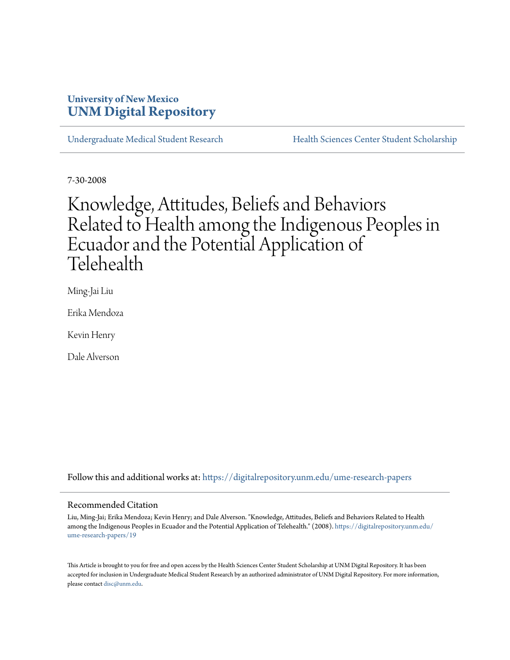### **University of New Mexico [UNM Digital Repository](https://digitalrepository.unm.edu?utm_source=digitalrepository.unm.edu%2Fume-research-papers%2F19&utm_medium=PDF&utm_campaign=PDFCoverPages)**

[Undergraduate Medical Student Research](https://digitalrepository.unm.edu/ume-research-papers?utm_source=digitalrepository.unm.edu%2Fume-research-papers%2F19&utm_medium=PDF&utm_campaign=PDFCoverPages) [Health Sciences Center Student Scholarship](https://digitalrepository.unm.edu/hsc-students?utm_source=digitalrepository.unm.edu%2Fume-research-papers%2F19&utm_medium=PDF&utm_campaign=PDFCoverPages)

7-30-2008

# Knowledge, Attitudes, Beliefs and Behaviors Related to Health among the Indigenous Peoples in Ecuador and the Potential Application of Telehealth

Ming-Jai Liu

Erika Mendoza

Kevin Henry

Dale Alverson

Follow this and additional works at: [https://digitalrepository.unm.edu/ume-research-papers](https://digitalrepository.unm.edu/ume-research-papers?utm_source=digitalrepository.unm.edu%2Fume-research-papers%2F19&utm_medium=PDF&utm_campaign=PDFCoverPages)

#### Recommended Citation

Liu, Ming-Jai; Erika Mendoza; Kevin Henry; and Dale Alverson. "Knowledge, Attitudes, Beliefs and Behaviors Related to Health among the Indigenous Peoples in Ecuador and the Potential Application of Telehealth." (2008). [https://digitalrepository.unm.edu/](https://digitalrepository.unm.edu/ume-research-papers/19?utm_source=digitalrepository.unm.edu%2Fume-research-papers%2F19&utm_medium=PDF&utm_campaign=PDFCoverPages) [ume-research-papers/19](https://digitalrepository.unm.edu/ume-research-papers/19?utm_source=digitalrepository.unm.edu%2Fume-research-papers%2F19&utm_medium=PDF&utm_campaign=PDFCoverPages)

This Article is brought to you for free and open access by the Health Sciences Center Student Scholarship at UNM Digital Repository. It has been accepted for inclusion in Undergraduate Medical Student Research by an authorized administrator of UNM Digital Repository. For more information, please contact [disc@unm.edu.](mailto:disc@unm.edu)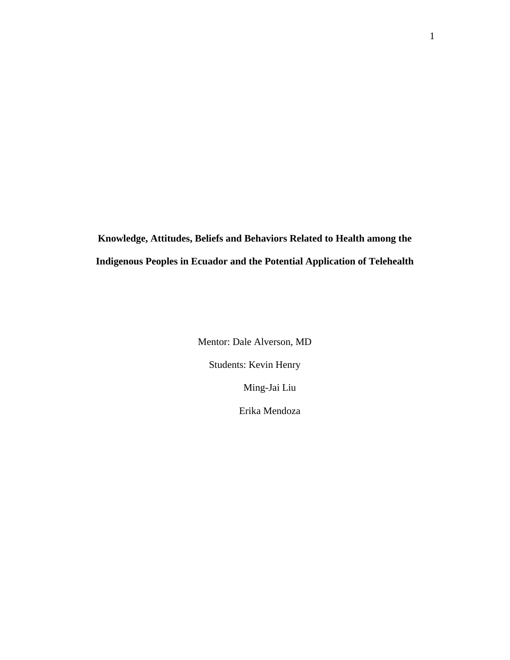**Knowledge, Attitudes, Beliefs and Behaviors Related to Health among the Indigenous Peoples in Ecuador and the Potential Application of Telehealth** 

> Mentor: Dale Alverson, MD Students: Kevin Henry Ming-Jai Liu Erika Mendoza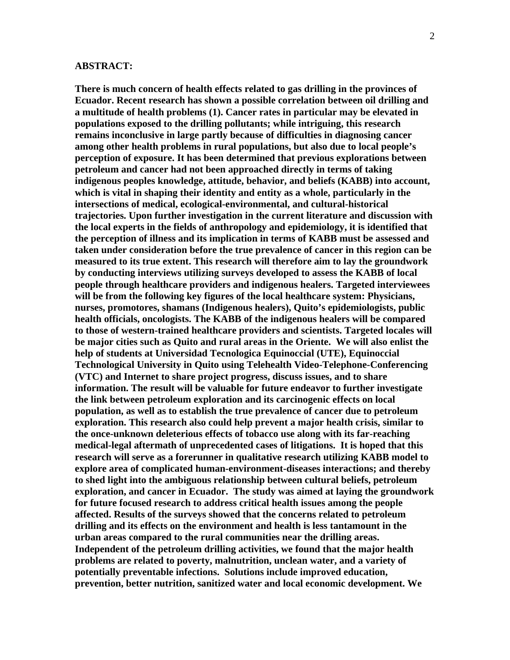#### **ABSTRACT:**

**There is much concern of health effects related to gas drilling in the provinces of Ecuador. Recent research has shown a possible correlation between oil drilling and a multitude of health problems (1). Cancer rates in particular may be elevated in populations exposed to the drilling pollutants; while intriguing, this research remains inconclusive in large partly because of difficulties in diagnosing cancer among other health problems in rural populations, but also due to local people's perception of exposure. It has been determined that previous explorations between petroleum and cancer had not been approached directly in terms of taking indigenous peoples knowledge, attitude, behavior, and beliefs (KABB) into account, which is vital in shaping their identity and entity as a whole, particularly in the intersections of medical, ecological-environmental, and cultural-historical trajectories. Upon further investigation in the current literature and discussion with the local experts in the fields of anthropology and epidemiology, it is identified that the perception of illness and its implication in terms of KABB must be assessed and taken under consideration before the true prevalence of cancer in this region can be measured to its true extent. This research will therefore aim to lay the groundwork by conducting interviews utilizing surveys developed to assess the KABB of local people through healthcare providers and indigenous healers. Targeted interviewees will be from the following key figures of the local healthcare system: Physicians, nurses, promotores, shamans (Indigenous healers), Quito's epidemiologists, public health officials, oncologists. The KABB of the indigenous healers will be compared to those of western-trained healthcare providers and scientists. Targeted locales will be major cities such as Quito and rural areas in the Oriente. We will also enlist the help of students at Universidad Tecnologica Equinoccial (UTE), Equinoccial Technological University in Quito using Telehealth Video-Telephone-Conferencing (VTC) and Internet to share project progress, discuss issues, and to share information. The result will be valuable for future endeavor to further investigate the link between petroleum exploration and its carcinogenic effects on local population, as well as to establish the true prevalence of cancer due to petroleum exploration. This research also could help prevent a major health crisis, similar to the once-unknown deleterious effects of tobacco use along with its far-reaching medical-legal aftermath of unprecedented cases of litigations. It is hoped that this research will serve as a forerunner in qualitative research utilizing KABB model to explore area of complicated human-environment-diseases interactions; and thereby to shed light into the ambiguous relationship between cultural beliefs, petroleum exploration, and cancer in Ecuador. The study was aimed at laying the groundwork for future focused research to address critical health issues among the people affected. Results of the surveys showed that the concerns related to petroleum drilling and its effects on the environment and health is less tantamount in the urban areas compared to the rural communities near the drilling areas. Independent of the petroleum drilling activities, we found that the major health problems are related to poverty, malnutrition, unclean water, and a variety of potentially preventable infections. Solutions include improved education, prevention, better nutrition, sanitized water and local economic development. We**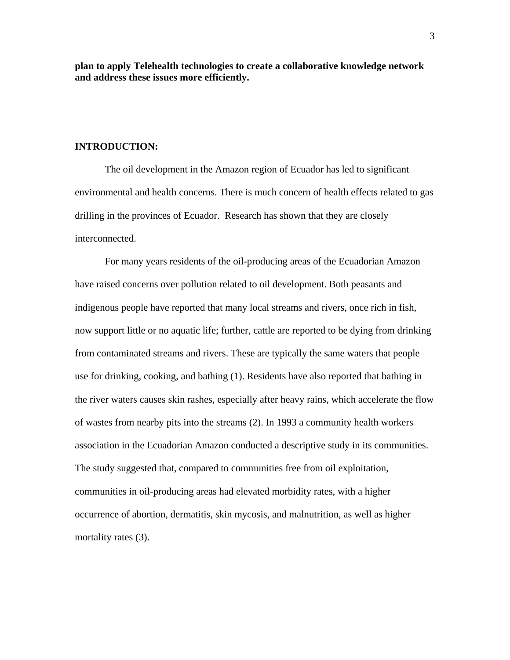**plan to apply Telehealth technologies to create a collaborative knowledge network and address these issues more efficiently.** 

#### **INTRODUCTION:**

The oil development in the Amazon region of Ecuador has led to significant environmental and health concerns. There is much concern of health effects related to gas drilling in the provinces of Ecuador. Research has shown that they are closely interconnected.

 For many years residents of the oil-producing areas of the Ecuadorian Amazon have raised concerns over pollution related to oil development. Both peasants and indigenous people have reported that many local streams and rivers, once rich in fish, now support little or no aquatic life; further, cattle are reported to be dying from drinking from contaminated streams and rivers. These are typically the same waters that people use for drinking, cooking, and bathing (1). Residents have also reported that bathing in the river waters causes skin rashes, especially after heavy rains, which accelerate the flow of wastes from nearby pits into the streams (2). In 1993 a community health workers association in the Ecuadorian Amazon conducted a descriptive study in its communities. The study suggested that, compared to communities free from oil exploitation, communities in oil-producing areas had elevated morbidity rates, with a higher occurrence of abortion, dermatitis, skin mycosis, and malnutrition, as well as higher mortality rates (3).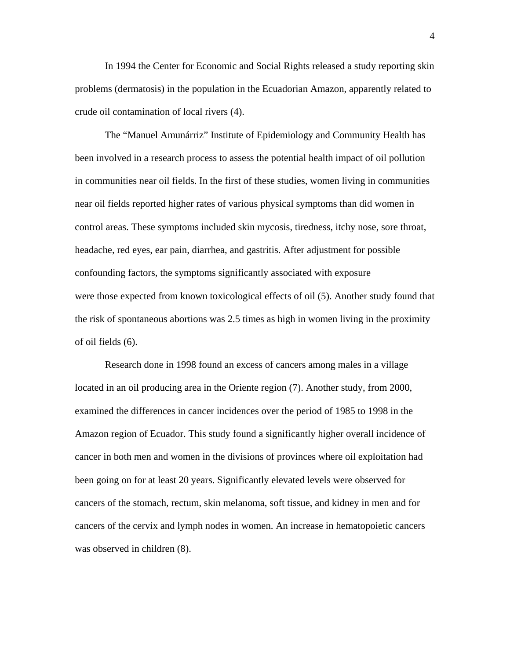In 1994 the Center for Economic and Social Rights released a study reporting skin problems (dermatosis) in the population in the Ecuadorian Amazon, apparently related to crude oil contamination of local rivers (4).

 The "Manuel Amunárriz" Institute of Epidemiology and Community Health has been involved in a research process to assess the potential health impact of oil pollution in communities near oil fields. In the first of these studies, women living in communities near oil fields reported higher rates of various physical symptoms than did women in control areas. These symptoms included skin mycosis, tiredness, itchy nose, sore throat, headache, red eyes, ear pain, diarrhea, and gastritis. After adjustment for possible confounding factors, the symptoms significantly associated with exposure were those expected from known toxicological effects of oil (5). Another study found that the risk of spontaneous abortions was 2.5 times as high in women living in the proximity of oil fields (6).

 Research done in 1998 found an excess of cancers among males in a village located in an oil producing area in the Oriente region (7). Another study, from 2000, examined the differences in cancer incidences over the period of 1985 to 1998 in the Amazon region of Ecuador. This study found a significantly higher overall incidence of cancer in both men and women in the divisions of provinces where oil exploitation had been going on for at least 20 years. Significantly elevated levels were observed for cancers of the stomach, rectum, skin melanoma, soft tissue, and kidney in men and for cancers of the cervix and lymph nodes in women. An increase in hematopoietic cancers was observed in children (8).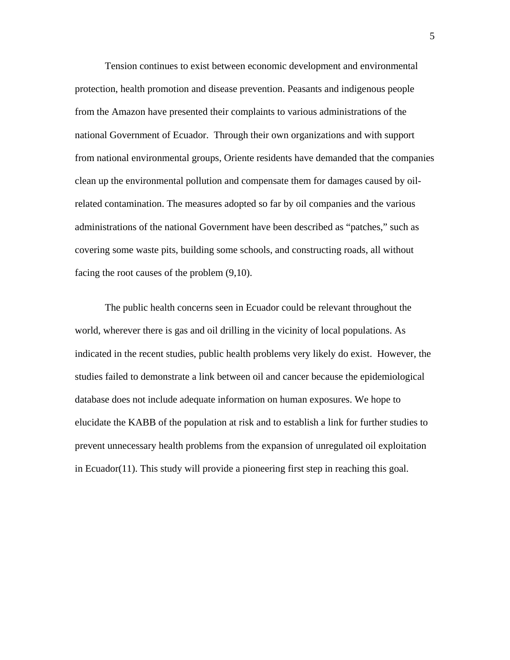Tension continues to exist between economic development and environmental protection, health promotion and disease prevention. Peasants and indigenous people from the Amazon have presented their complaints to various administrations of the national Government of Ecuador. Through their own organizations and with support from national environmental groups, Oriente residents have demanded that the companies clean up the environmental pollution and compensate them for damages caused by oilrelated contamination. The measures adopted so far by oil companies and the various administrations of the national Government have been described as "patches," such as covering some waste pits, building some schools, and constructing roads, all without facing the root causes of the problem (9,10).

 The public health concerns seen in Ecuador could be relevant throughout the world, wherever there is gas and oil drilling in the vicinity of local populations. As indicated in the recent studies, public health problems very likely do exist. However, the studies failed to demonstrate a link between oil and cancer because the epidemiological database does not include adequate information on human exposures. We hope to elucidate the KABB of the population at risk and to establish a link for further studies to prevent unnecessary health problems from the expansion of unregulated oil exploitation in Ecuador(11). This study will provide a pioneering first step in reaching this goal.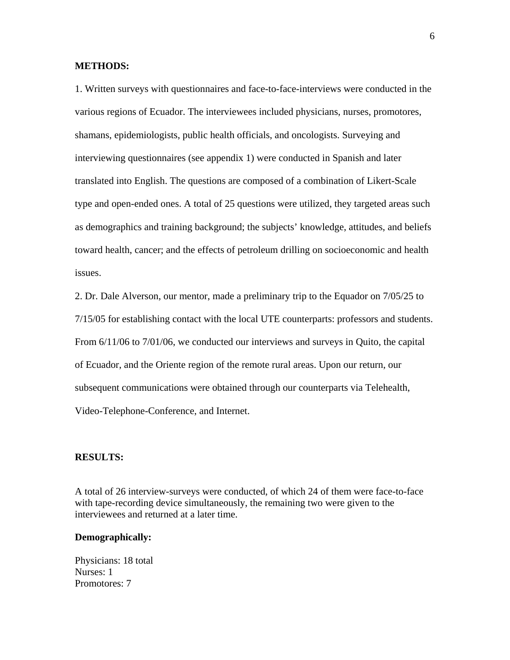#### **METHODS:**

1. Written surveys with questionnaires and face-to-face-interviews were conducted in the various regions of Ecuador. The interviewees included physicians, nurses, promotores, shamans, epidemiologists, public health officials, and oncologists. Surveying and interviewing questionnaires (see appendix 1) were conducted in Spanish and later translated into English. The questions are composed of a combination of Likert-Scale type and open-ended ones. A total of 25 questions were utilized, they targeted areas such as demographics and training background; the subjects' knowledge, attitudes, and beliefs toward health, cancer; and the effects of petroleum drilling on socioeconomic and health issues.

2. Dr. Dale Alverson, our mentor, made a preliminary trip to the Equador on 7/05/25 to 7/15/05 for establishing contact with the local UTE counterparts: professors and students. From 6/11/06 to 7/01/06, we conducted our interviews and surveys in Quito, the capital of Ecuador, and the Oriente region of the remote rural areas. Upon our return, our subsequent communications were obtained through our counterparts via Telehealth, Video-Telephone-Conference, and Internet.

#### **RESULTS:**

A total of 26 interview-surveys were conducted, of which 24 of them were face-to-face with tape-recording device simultaneously, the remaining two were given to the interviewees and returned at a later time.

#### **Demographically:**

Physicians: 18 total Nurses: 1 Promotores: 7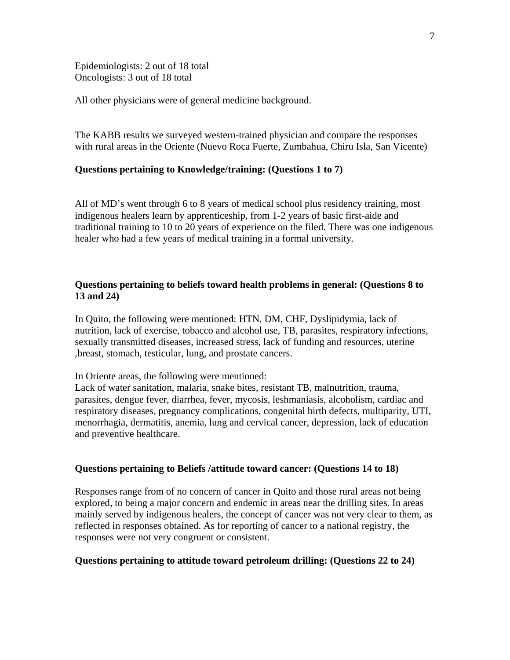Epidemiologists: 2 out of 18 total Oncologists: 3 out of 18 total

All other physicians were of general medicine background.

The KABB results we surveyed western-trained physician and compare the responses with rural areas in the Oriente (Nuevo Roca Fuerte, Zumbahua, Chiru Isla, San Vicente)

#### **Questions pertaining to Knowledge/training: (Questions 1 to 7)**

All of MD's went through 6 to 8 years of medical school plus residency training, most indigenous healers learn by apprenticeship, from 1-2 years of basic first-aide and traditional training to 10 to 20 years of experience on the filed. There was one indigenous healer who had a few years of medical training in a formal university.

#### **Questions pertaining to beliefs toward health problems in general: (Questions 8 to 13 and 24)**

In Quito, the following were mentioned: HTN, DM, CHF, Dyslipidymia, lack of nutrition, lack of exercise, tobacco and alcohol use, TB, parasites, respiratory infections, sexually transmitted diseases, increased stress, lack of funding and resources, uterine ,breast, stomach, testicular, lung, and prostate cancers.

In Oriente areas, the following were mentioned:

Lack of water sanitation, malaria, snake bites, resistant TB, malnutrition, trauma, parasites, dengue fever, diarrhea, fever, mycosis, leshmaniasis, alcoholism, cardiac and respiratory diseases, pregnancy complications, congenital birth defects, multiparity, UTI, menorrhagia, dermatitis, anemia, lung and cervical cancer, depression, lack of education and preventive healthcare.

#### **Questions pertaining to Beliefs /attitude toward cancer: (Questions 14 to 18)**

Responses range from of no concern of cancer in Quito and those rural areas not being explored, to being a major concern and endemic in areas near the drilling sites. In areas mainly served by indigenous healers, the concept of cancer was not very clear to them, as reflected in responses obtained. As for reporting of cancer to a national registry, the responses were not very congruent or consistent.

#### **Questions pertaining to attitude toward petroleum drilling: (Questions 22 to 24)**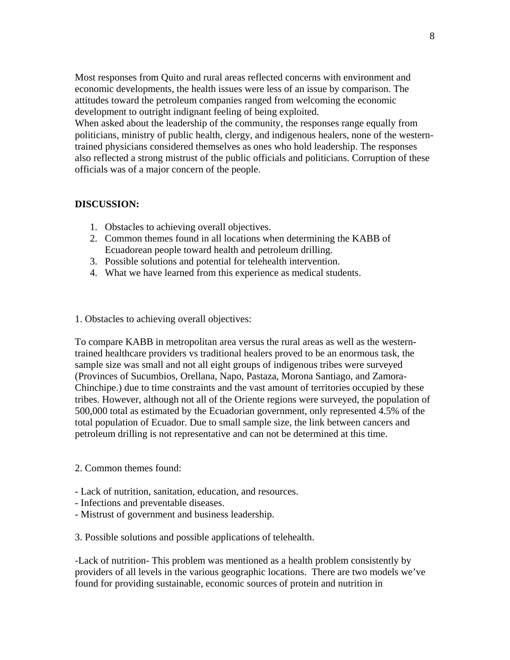Most responses from Quito and rural areas reflected concerns with environment and economic developments, the health issues were less of an issue by comparison. The attitudes toward the petroleum companies ranged from welcoming the economic development to outright indignant feeling of being exploited.

When asked about the leadership of the community, the responses range equally from politicians, ministry of public health, clergy, and indigenous healers, none of the westerntrained physicians considered themselves as ones who hold leadership. The responses also reflected a strong mistrust of the public officials and politicians. Corruption of these officials was of a major concern of the people.

#### **DISCUSSION:**

- 1. Obstacles to achieving overall objectives.
- 2. Common themes found in all locations when determining the KABB of Ecuadorean people toward health and petroleum drilling.
- 3. Possible solutions and potential for telehealth intervention.
- 4. What we have learned from this experience as medical students.

#### 1. Obstacles to achieving overall objectives:

To compare KABB in metropolitan area versus the rural areas as well as the westerntrained healthcare providers vs traditional healers proved to be an enormous task, the sample size was small and not all eight groups of indigenous tribes were surveyed (Provinces of Sucumbios, Orellana, Napo, Pastaza, Morona Santiago, and Zamora-Chinchipe.) due to time constraints and the vast amount of territories occupied by these tribes. However, although not all of the Oriente regions were surveyed, the population of 500,000 total as estimated by the Ecuadorian government, only represented 4.5% of the total population of Ecuador. Due to small sample size, the link between cancers and petroleum drilling is not representative and can not be determined at this time.

#### 2. Common themes found:

- Lack of nutrition, sanitation, education, and resources.
- Infections and preventable diseases.
- Mistrust of government and business leadership.

3. Possible solutions and possible applications of telehealth.

-Lack of nutrition- This problem was mentioned as a health problem consistently by providers of all levels in the various geographic locations. There are two models we've found for providing sustainable, economic sources of protein and nutrition in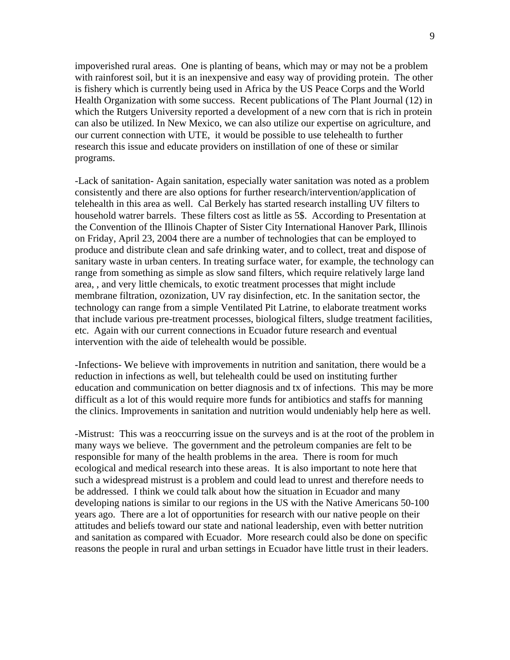impoverished rural areas. One is planting of beans, which may or may not be a problem with rainforest soil, but it is an inexpensive and easy way of providing protein. The other is fishery which is currently being used in Africa by the US Peace Corps and the World Health Organization with some success. Recent publications of The Plant Journal (12) in which the Rutgers University reported a development of a new corn that is rich in protein can also be utilized. In New Mexico, we can also utilize our expertise on agriculture, and our current connection with UTE, it would be possible to use telehealth to further research this issue and educate providers on instillation of one of these or similar programs.

-Lack of sanitation- Again sanitation, especially water sanitation was noted as a problem consistently and there are also options for further research/intervention/application of telehealth in this area as well. Cal Berkely has started research installing UV filters to household watrer barrels. These filters cost as little as 5\$. According to Presentation at the Convention of the Illinois Chapter of Sister City International Hanover Park, Illinois on Friday, April 23, 2004 there are a number of technologies that can be employed to produce and distribute clean and safe drinking water, and to collect, treat and dispose of sanitary waste in urban centers. In treating surface water, for example, the technology can range from something as simple as slow sand filters, which require relatively large land area, , and very little chemicals, to exotic treatment processes that might include membrane filtration, ozonization, UV ray disinfection, etc. In the sanitation sector, the technology can range from a simple Ventilated Pit Latrine, to elaborate treatment works that include various pre-treatment processes, biological filters, sludge treatment facilities, etc. Again with our current connections in Ecuador future research and eventual intervention with the aide of telehealth would be possible.

-Infections- We believe with improvements in nutrition and sanitation, there would be a reduction in infections as well, but telehealth could be used on instituting further education and communication on better diagnosis and tx of infections. This may be more difficult as a lot of this would require more funds for antibiotics and staffs for manning the clinics. Improvements in sanitation and nutrition would undeniably help here as well.

-Mistrust: This was a reoccurring issue on the surveys and is at the root of the problem in many ways we believe. The government and the petroleum companies are felt to be responsible for many of the health problems in the area. There is room for much ecological and medical research into these areas. It is also important to note here that such a widespread mistrust is a problem and could lead to unrest and therefore needs to be addressed. I think we could talk about how the situation in Ecuador and many developing nations is similar to our regions in the US with the Native Americans 50-100 years ago. There are a lot of opportunities for research with our native people on their attitudes and beliefs toward our state and national leadership, even with better nutrition and sanitation as compared with Ecuador. More research could also be done on specific reasons the people in rural and urban settings in Ecuador have little trust in their leaders.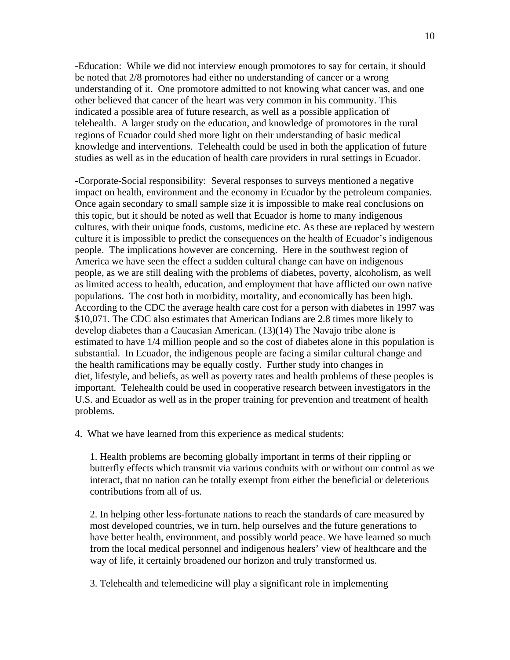-Education: While we did not interview enough promotores to say for certain, it should be noted that 2/8 promotores had either no understanding of cancer or a wrong understanding of it. One promotore admitted to not knowing what cancer was, and one other believed that cancer of the heart was very common in his community. This indicated a possible area of future research, as well as a possible application of telehealth. A larger study on the education, and knowledge of promotores in the rural regions of Ecuador could shed more light on their understanding of basic medical knowledge and interventions. Telehealth could be used in both the application of future studies as well as in the education of health care providers in rural settings in Ecuador.

-Corporate-Social responsibility: Several responses to surveys mentioned a negative impact on health, environment and the economy in Ecuador by the petroleum companies. Once again secondary to small sample size it is impossible to make real conclusions on this topic, but it should be noted as well that Ecuador is home to many indigenous cultures, with their unique foods, customs, medicine etc. As these are replaced by western culture it is impossible to predict the consequences on the health of Ecuador's indigenous people. The implications however are concerning. Here in the southwest region of America we have seen the effect a sudden cultural change can have on indigenous people, as we are still dealing with the problems of diabetes, poverty, alcoholism, as well as limited access to health, education, and employment that have afflicted our own native populations. The cost both in morbidity, mortality, and economically has been high. According to the CDC the average health care cost for a person with diabetes in 1997 was \$10,071. The CDC also estimates that American Indians are 2.8 times more likely to develop diabetes than a Caucasian American. (13)(14) The Navajo tribe alone is estimated to have 1/4 million people and so the cost of diabetes alone in this population is substantial. In Ecuador, the indigenous people are facing a similar cultural change and the health ramifications may be equally costly. Further study into changes in diet, lifestyle, and beliefs, as well as poverty rates and health problems of these peoples is important. Telehealth could be used in cooperative research between investigators in the U.S. and Ecuador as well as in the proper training for prevention and treatment of health problems.

4. What we have learned from this experience as medical students:

1. Health problems are becoming globally important in terms of their rippling or butterfly effects which transmit via various conduits with or without our control as we interact, that no nation can be totally exempt from either the beneficial or deleterious contributions from all of us.

2. In helping other less-fortunate nations to reach the standards of care measured by most developed countries, we in turn, help ourselves and the future generations to have better health, environment, and possibly world peace. We have learned so much from the local medical personnel and indigenous healers' view of healthcare and the way of life, it certainly broadened our horizon and truly transformed us.

3. Telehealth and telemedicine will play a significant role in implementing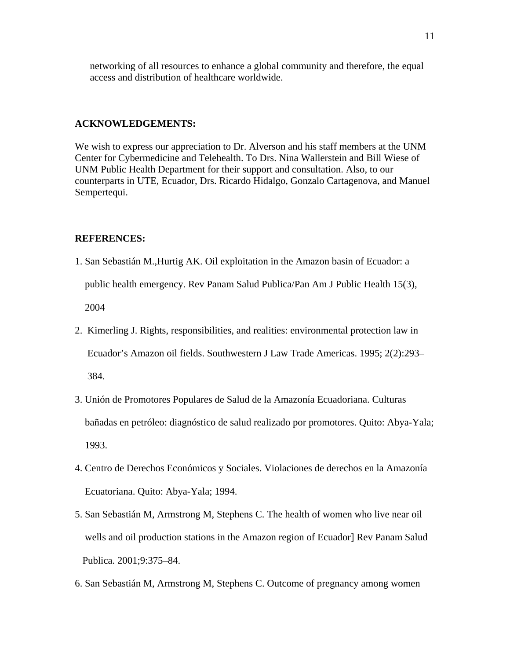networking of all resources to enhance a global community and therefore, the equal access and distribution of healthcare worldwide.

#### **ACKNOWLEDGEMENTS:**

We wish to express our appreciation to Dr. Alverson and his staff members at the UNM Center for Cybermedicine and Telehealth. To Drs. Nina Wallerstein and Bill Wiese of UNM Public Health Department for their support and consultation. Also, to our counterparts in UTE, Ecuador, Drs. Ricardo Hidalgo, Gonzalo Cartagenova, and Manuel Sempertequi.

#### **REFERENCES:**

1. San Sebastián M.,Hurtig AK. Oil exploitation in the Amazon basin of Ecuador: a public health emergency. Rev Panam Salud Publica/Pan Am J Public Health 15(3), 2004

- 2. Kimerling J. Rights, responsibilities, and realities: environmental protection law in Ecuador's Amazon oil fields. Southwestern J Law Trade Americas. 1995; 2(2):293– 384.
- 3. Unión de Promotores Populares de Salud de la Amazonía Ecuadoriana. Culturas bañadas en petróleo: diagnóstico de salud realizado por promotores. Quito: Abya-Yala; 1993.
- 4. Centro de Derechos Económicos y Sociales. Violaciones de derechos en la Amazonía Ecuatoriana. Quito: Abya-Yala; 1994.
- 5. San Sebastián M, Armstrong M, Stephens C. The health of women who live near oil wells and oil production stations in the Amazon region of Ecuador] Rev Panam Salud Publica. 2001;9:375–84.
- 6. San Sebastián M, Armstrong M, Stephens C. Outcome of pregnancy among women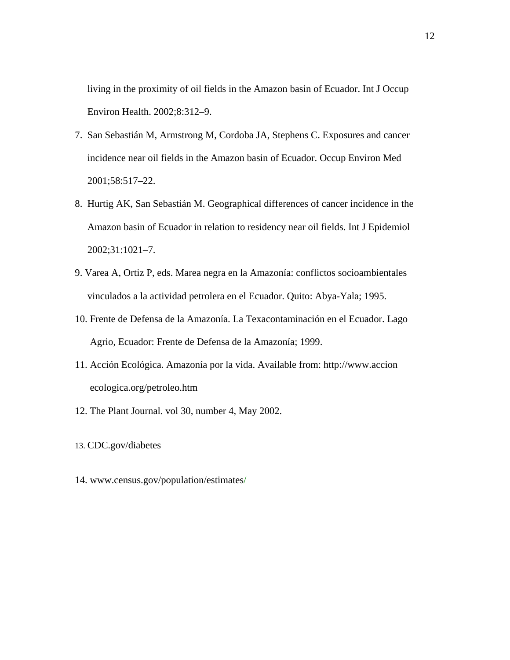living in the proximity of oil fields in the Amazon basin of Ecuador. Int J Occup Environ Health. 2002;8:312–9.

- 7. San Sebastián M, Armstrong M, Cordoba JA, Stephens C. Exposures and cancer incidence near oil fields in the Amazon basin of Ecuador. Occup Environ Med 2001;58:517–22.
- 8. Hurtig AK, San Sebastián M. Geographical differences of cancer incidence in the Amazon basin of Ecuador in relation to residency near oil fields. Int J Epidemiol 2002;31:1021–7.
- 9. Varea A, Ortiz P, eds. Marea negra en la Amazonía: conflictos socioambientales vinculados a la actividad petrolera en el Ecuador. Quito: Abya-Yala; 1995.
- 10. Frente de Defensa de la Amazonía. La Texacontaminación en el Ecuador. Lago Agrio, Ecuador: Frente de Defensa de la Amazonía; 1999.
- 11. Acción Ecológica. Amazonía por la vida. Available from: [http://www.accion](http://www.accion/) ecologica.org/petroleo.htm
- 12. The Plant Journal. vol 30, number 4, May 2002.
- 13. CDC.gov/diabetes
- 14. www.census.gov/population/estimates/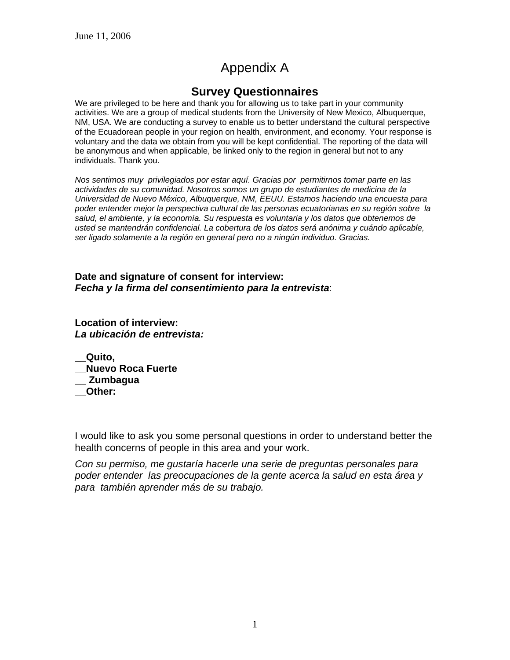# Appendix A

## **Survey Questionnaires**

We are privileged to be here and thank you for allowing us to take part in your community activities. We are a group of medical students from the University of New Mexico, Albuquerque, NM, USA. We are conducting a survey to enable us to better understand the cultural perspective of the Ecuadorean people in your region on health, environment, and economy. Your response is voluntary and the data we obtain from you will be kept confidential. The reporting of the data will be anonymous and when applicable, be linked only to the region in general but not to any individuals. Thank you.

*Nos sentimos muy privilegiados por estar aquí. Gracias por permitirnos tomar parte en las actividades de su comunidad. Nosotros somos un grupo de estudiantes de medicina de la Universidad de Nuevo México, Albuquerque, NM, EEUU. Estamos haciendo una encuesta para poder entender mejor la perspectiva cultural de las personas ecuatorianas en su región sobre la salud, el ambiente, y la economía. Su respuesta es voluntaria y los datos que obtenemos de usted se mantendrán confidencial. La cobertura de los datos será anónima y cuándo aplicable, ser ligado solamente a la región en general pero no a ningún individuo. Gracias.* 

**Date and signature of consent for interview:**  *Fecha y la firma del consentimiento para la entrevista*:

**Location of interview:**  *La ubicación de entrevista:* 

**\_\_Quito, \_\_Nuevo Roca Fuerte \_\_ Zumbagua \_\_Other:** 

I would like to ask you some personal questions in order to understand better the health concerns of people in this area and your work.

*Con su permiso, me gustaría hacerle una serie de preguntas personales para poder entender las preocupaciones de la gente acerca la salud en esta área y para también aprender más de su trabajo.*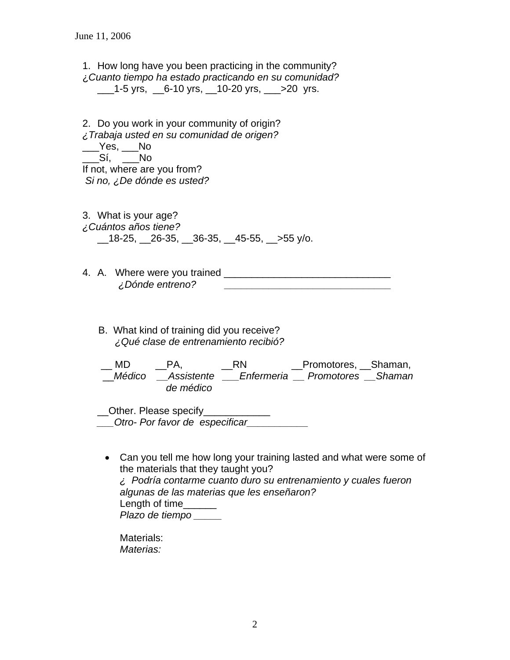1. How long have you been practicing in the community? ¿*Cuanto tiempo ha estado practicando en su comunidad?*   $\_\_\_\$ 1-5 yrs,  $\_\_6$ -10 yrs,  $\_\_\$ 10-20 yrs,  $\_\_\_\$ >20 yrs.

2. Do you work in your community of origin? *¿Trabaja usted en su comunidad de origen?*   $\rule{1em}{0.15mm}$   $\qquad$   $\qquad$   $\qquad$   $\qquad$   $\qquad$   $\qquad$   $\qquad$   $\qquad$   $\qquad$   $\qquad$   $\qquad$   $\qquad$   $\qquad$   $\qquad$   $\qquad$   $\qquad$   $\qquad$   $\qquad$   $\qquad$   $\qquad$   $\qquad$   $\qquad$   $\qquad$   $\qquad$   $\qquad$   $\qquad$   $\qquad$   $\qquad$   $\qquad$   $\qquad$   $\qquad$   $\qquad$   $\qquad$   $\qquad$   $\$ \_\_\_Sí, \_\_\_No If not, where are you from?  *Si no, ¿De dónde es usted?* 

- 3. What is your age? *¿Cuántos años tiene?*  \_\_18-25, \_\_26-35, \_\_36-35, \_\_45-55, \_\_>55 y/o.
- 4. A. Where were you trained \_\_\_\_\_\_\_\_\_\_\_\_\_\_\_\_\_\_\_\_\_\_\_\_\_\_\_\_\_\_ *¿Dónde entreno? \_\_\_\_\_\_\_\_\_\_\_\_\_\_\_\_\_\_\_\_\_\_\_\_\_\_\_\_\_\_* 
	- B. What kind of training did you receive?  *¿Qué clase de entrenamiento recibió?*

 \_\_ MD \_\_PA, \_\_RN \_\_Promotores, \_\_Shaman, \_\_*Médico \_\_Assistente \_\_\_Enfermeria \_\_ Promotores \_\_Shaman de médico* 

\_\_Other. Please specify\_\_\_\_\_\_\_\_\_\_\_\_ *\_\_\_Otro- Por favor de especificar\_\_\_\_\_\_\_\_\_\_\_* 

• Can you tell me how long your training lasted and what were some of the materials that they taught you? *¿ Podría contarme cuanto duro su entrenamiento y cuales fueron algunas de las materias que les enseñaron?*  Length of time\_\_\_\_\_\_ *Plazo de tiempo \_\_\_\_\_* 

Materials: *Materias:*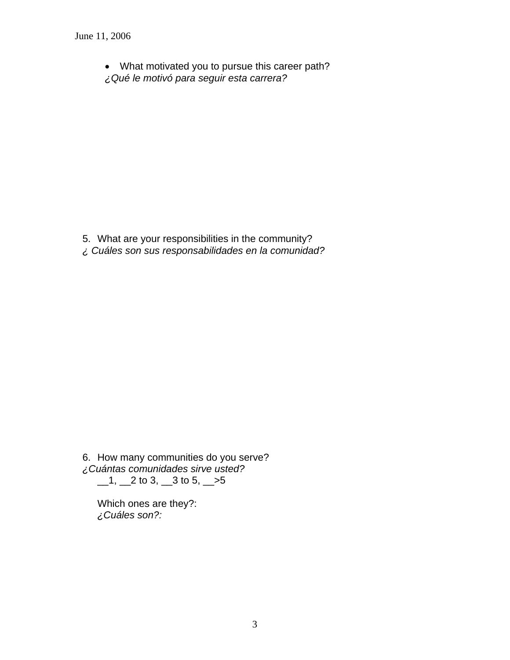• What motivated you to pursue this career path?

*¿Qué le motivó para seguir esta carrera?* 

- 5. What are your responsibilities in the community?
- *¿ Cuáles son sus responsabilidades en la comunidad?*

6. How many communities do you serve? *¿Cuántas comunidades sirve usted?*   $\_1, \_2$  to 3,  $\_3$  to 5,  $\_5$ 

Which ones are they?: *¿Cuáles son?:*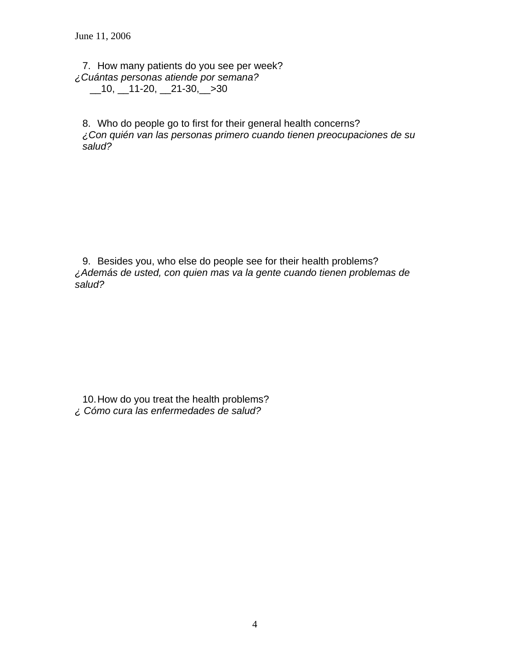7. How many patients do you see per week? *¿Cuántas personas atiende por semana?*   $\_10, \_11-20, \_21-30, \_30$ 

8. Who do people go to first for their general health concerns? *¿Con quién van las personas primero cuando tienen preocupaciones de su salud?* 

9. Besides you, who else do people see for their health problems? *¿Además de usted, con quien mas va la gente cuando tienen problemas de salud?* 

10. How do you treat the health problems? *¿ Cómo cura las enfermedades de salud?*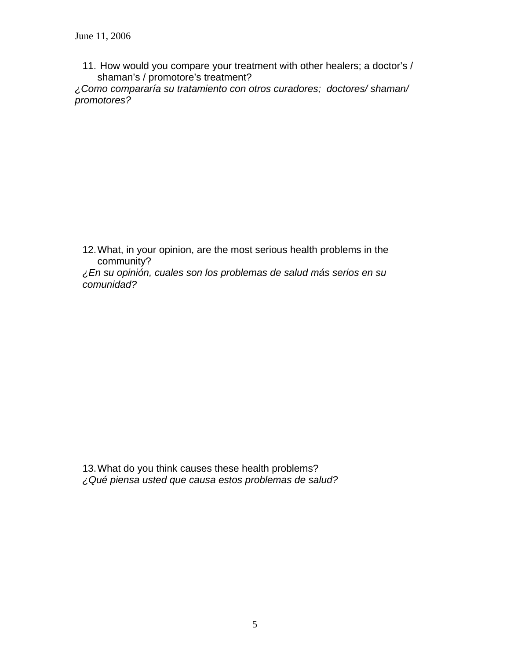11. How would you compare your treatment with other healers; a doctor's / shaman's / promotore's treatment?

*¿Como compararía su tratamiento con otros curadores; doctores/ shaman/ promotores?* 

12. What, in your opinion, are the most serious health problems in the community?

*¿En su opinión, cuales son los problemas de salud más serios en su comunidad?* 

13. What do you think causes these health problems? *¿Qué piensa usted que causa estos problemas de salud?*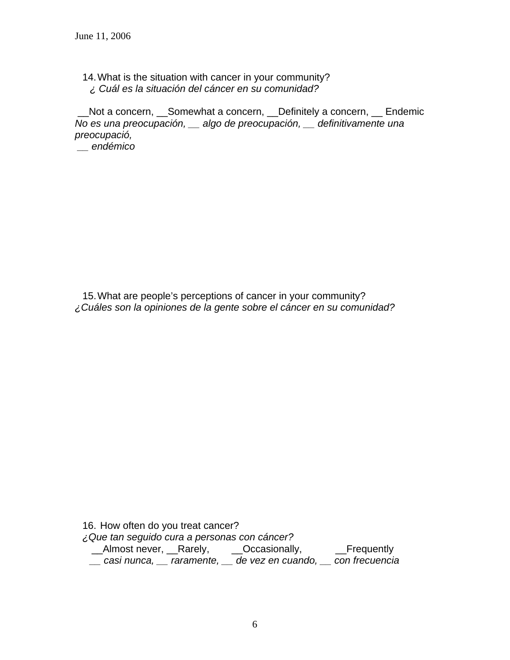14. What is the situation with cancer in your community? *¿ Cuál es la situación del cáncer en su comunidad?* 

 \_\_Not a concern, \_\_Somewhat a concern, \_\_Definitely a concern, \_\_ Endemic *No es una preocupación, \_\_ algo de preocupación, \_\_ definitivamente una preocupació,* 

 *\_\_ endémico* 

15. What are people's perceptions of cancer in your community? *¿Cuáles son la opiniones de la gente sobre el cáncer en su comunidad?* 

16. How often do you treat cancer? *¿Que tan seguido cura a personas con cáncer?*  \_\_Almost never, \_\_Rarely, \_\_\_Occasionally, \_\_\_\_Frequently *\_\_ casi nunca, \_\_ raramente, \_\_ de vez en cuando, \_\_ con frecuencia*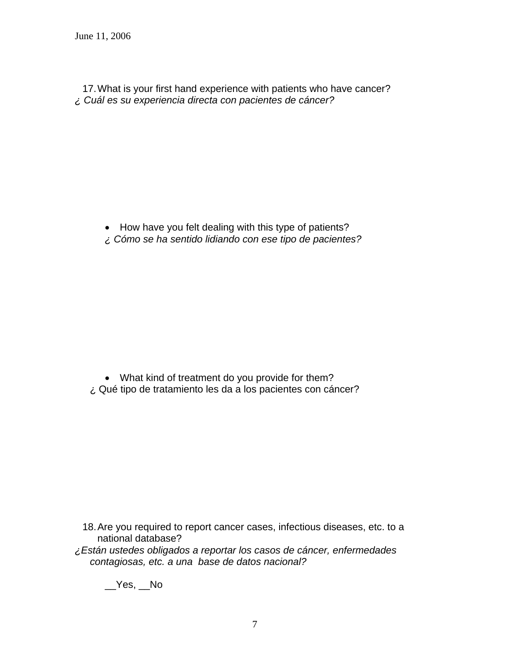17. What is your first hand experience with patients who have cancer? *¿ Cuál es su experiencia directa con pacientes de cáncer?* 

- How have you felt dealing with this type of patients?
- *¿ Cómo se ha sentido lidiando con ese tipo de pacientes?*

• What kind of treatment do you provide for them? ¿ Qué tipo de tratamiento les da a los pacientes con cáncer?

- 18. Are you required to report cancer cases, infectious diseases, etc. to a national database?
- *¿Están ustedes obligados a reportar los casos de cáncer, enfermedades contagiosas, etc. a una base de datos nacional?*

 $Yes$ ,  $No$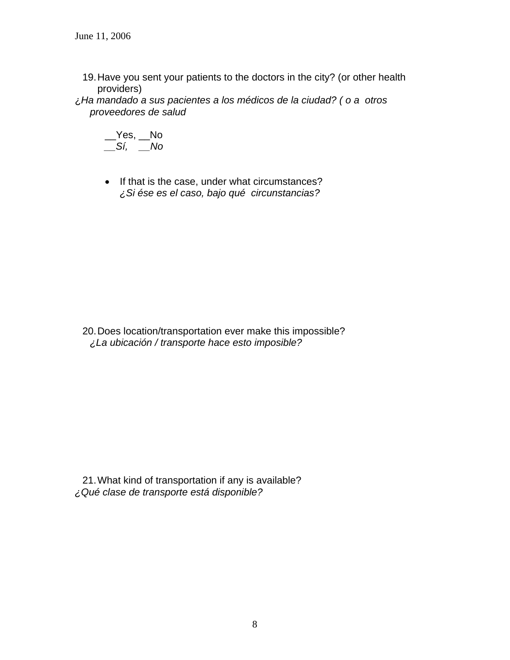- 19. Have you sent your patients to the doctors in the city? (or other health providers)
- ¿*Ha mandado a sus pacientes a los médicos de la ciudad? ( o a otros proveedores de salud*

$$
\underline{\qquad} \text{Yes}, \underline{\qquad} \text{No} \\ \underline{\qquad} \text{S\'i}, \ \underline{\qquad} \text{No}
$$

• If that is the case, under what circumstances? *¿Si ése es el caso, bajo qué circunstancias?* 

20. Does location/transportation ever make this impossible? *¿La ubicación / transporte hace esto imposible?* 

21. What kind of transportation if any is available? *¿Qué clase de transporte está disponible?*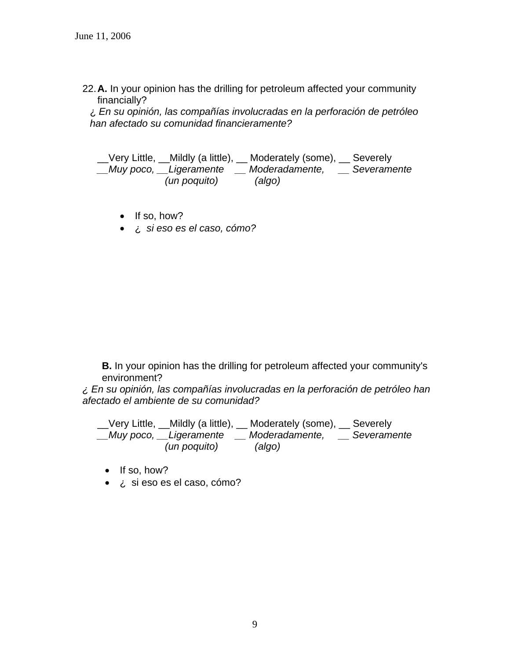22. **A.** In your opinion has the drilling for petroleum affected your community financially?

¿ *En su opinión, las compañías involucradas en la perforación de petróleo han afectado su comunidad financieramente?* 

\_\_Very Little, \_\_Mildly (a little), \_\_ Moderately (some), \_\_ Severely *\_\_Muy poco, \_\_Ligeramente \_\_ Moderadamente, \_\_ Severamente (un poquito) (algo)* 

- If so, how?
- ¿ *si eso es el caso, cómo?*

 **B.** In your opinion has the drilling for petroleum affected your community's environment?

*¿ En su opinión, las compañías involucradas en la perforación de petróleo han afectado el ambiente de su comunidad?* 

\_\_Very Little, \_\_Mildly (a little), \_\_ Moderately (some), \_\_ Severely *\_\_Muy poco, \_\_Ligeramente \_\_ Moderadamente, \_\_ Severamente (un poquito) (algo)* 

- If so, how?
- ¿ si eso es el caso, cómo?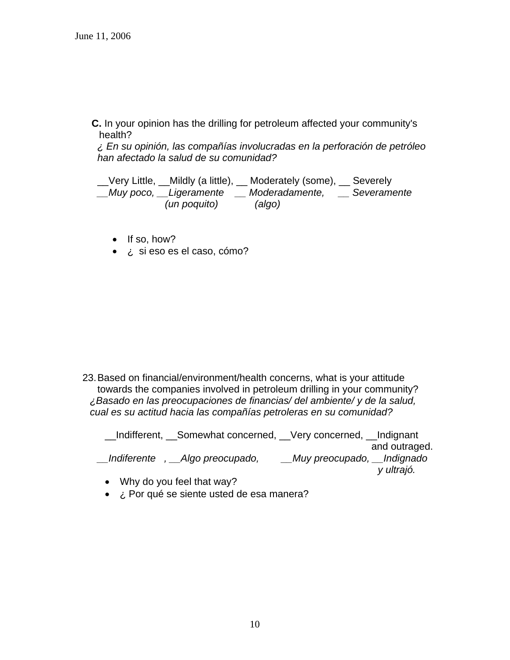**C.** In your opinion has the drilling for petroleum affected your community's health?

*¿ En su opinión, las compañías involucradas en la perforación de petróleo han afectado la salud de su comunidad?* 

\_\_Very Little, \_\_Mildly (a little), \_\_ Moderately (some), \_\_ Severely *\_\_Muy poco, \_\_Ligeramente \_\_ Moderadamente, \_\_ Severamente (un poquito) (algo)* 

- If so, how?
- ¿ si eso es el caso, cómo?

23. Based on financial/environment/health concerns, what is your attitude towards the companies involved in petroleum drilling in your community? *¿Basado en las preocupaciones de financias/ del ambiente/ y de la salud, cual es su actitud hacia las compañías petroleras en su comunidad?* 

\_\_Indifferent, \_\_Somewhat concerned, \_\_Very concerned, \_\_Indignant and outraged. *\_\_Indiferente , \_\_Algo preocupado, \_\_Muy preocupado, \_\_Indignado y ultrajó.* 

- Why do you feel that way?
- *i.* Por qué se siente usted de esa manera?